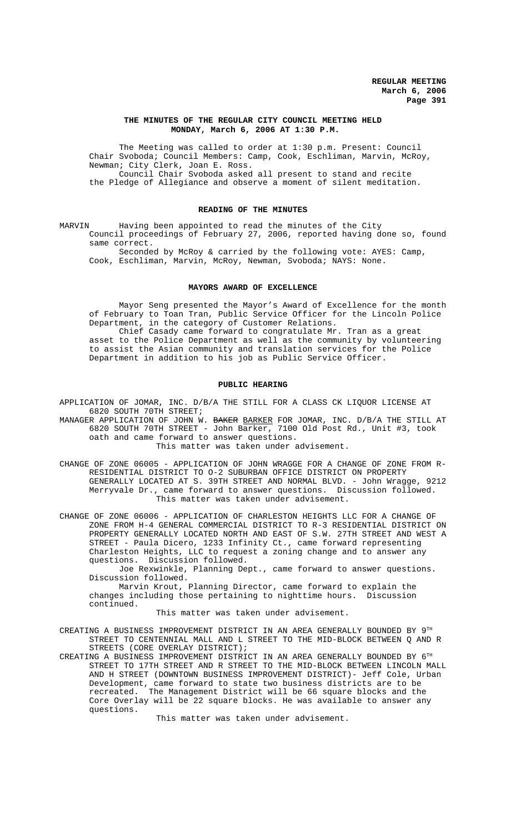## **THE MINUTES OF THE REGULAR CITY COUNCIL MEETING HELD MONDAY, March 6, 2006 AT 1:30 P.M.**

The Meeting was called to order at 1:30 p.m. Present: Council Chair Svoboda; Council Members: Camp, Cook, Eschliman, Marvin, McRoy, Newman; City Clerk, Joan E. Ross. Council Chair Svoboda asked all present to stand and recite the Pledge of Allegiance and observe a moment of silent meditation.

## **READING OF THE MINUTES**

MARVIN Having been appointed to read the minutes of the City Council proceedings of February 27, 2006, reported having done so, found same correct.

Seconded by McRoy & carried by the following vote: AYES: Camp, Cook, Eschliman, Marvin, McRoy, Newman, Svoboda; NAYS: None.

### **MAYORS AWARD OF EXCELLENCE**

Mayor Seng presented the Mayor's Award of Excellence for the month of February to Toan Tran, Public Service Officer for the Lincoln Police Department, in the category of Customer Relations.

Chief Casady came forward to congratulate Mr. Tran as a great asset to the Police Department as well as the community by volunteering to assist the Asian community and translation services for the Police Department in addition to his job as Public Service Officer.

#### **PUBLIC HEARING**

APPLICATION OF JOMAR, INC. D/B/A THE STILL FOR A CLASS CK LIQUOR LICENSE AT 6820 SOUTH 70TH STREET;

MANAGER APPLICATION OF JOHN W. BAKER BARKER FOR JOMAR, INC. D/B/A THE STILL AT 6820 SOUTH 70TH STREET - John Barker, 7100 Old Post Rd., Unit #3, took oath and came forward to answer questions.

This matter was taken under advisement.

CHANGE OF ZONE 06005 - APPLICATION OF JOHN WRAGGE FOR A CHANGE OF ZONE FROM R-RESIDENTIAL DISTRICT TO O-2 SUBURBAN OFFICE DISTRICT ON PROPERTY GENERALLY LOCATED AT S. 39TH STREET AND NORMAL BLVD. - John Wragge, 9212 Merryvale Dr., came forward to answer questions. Discussion followed. This matter was taken under advisement.

CHANGE OF ZONE 06006 - APPLICATION OF CHARLESTON HEIGHTS LLC FOR A CHANGE OF ZONE FROM H-4 GENERAL COMMERCIAL DISTRICT TO R-3 RESIDENTIAL DISTRICT ON PROPERTY GENERALLY LOCATED NORTH AND EAST OF S.W. 27TH STREET AND WEST A STREET - Paula Dicero, 1233 Infinity Ct., came forward representing Charleston Heights, LLC to request a zoning change and to answer any questions. Discussion followed.

Joe Rexwinkle, Planning Dept., came forward to answer questions. Discussion followed.

Marvin Krout, Planning Director, came forward to explain the changes including those pertaining to nighttime hours. Discussion continued.

This matter was taken under advisement.

CREATING A BUSINESS IMPROVEMENT DISTRICT IN AN AREA GENERALLY BOUNDED BY 9TH STREET TO CENTENNIAL MALL AND L STREET TO THE MID-BLOCK BETWEEN Q AND R STREETS (CORE OVERLAY DISTRICT);

CREATING A BUSINESS IMPROVEMENT DISTRICT IN AN AREA GENERALLY BOUNDED BY 6TH STREET TO 17TH STREET AND R STREET TO THE MID-BLOCK BETWEEN LINCOLN MALL AND H STREET (DOWNTOWN BUSINESS IMPROVEMENT DISTRICT)- Jeff Cole, Urban Development, came forward to state two business districts are to be recreated. The Management District will be 66 square blocks and the Core Overlay will be 22 square blocks. He was available to answer any questions.

This matter was taken under advisement.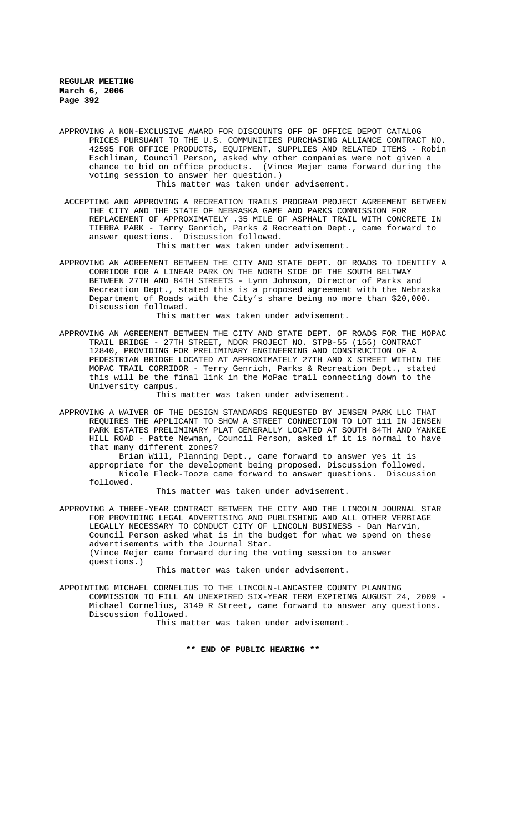APPROVING A NON-EXCLUSIVE AWARD FOR DISCOUNTS OFF OF OFFICE DEPOT CATALOG PRICES PURSUANT TO THE U.S. COMMUNITIES PURCHASING ALLIANCE CONTRACT NO. 42595 FOR OFFICE PRODUCTS, EQUIPMENT, SUPPLIES AND RELATED ITEMS - Robin Eschliman, Council Person, asked why other companies were not given a chance to bid on office products. (Vince Mejer came forward during the voting session to answer her question.)

This matter was taken under advisement.

- ACCEPTING AND APPROVING A RECREATION TRAILS PROGRAM PROJECT AGREEMENT BETWEEN THE CITY AND THE STATE OF NEBRASKA GAME AND PARKS COMMISSION FOR REPLACEMENT OF APPROXIMATELY .35 MILE OF ASPHALT TRAIL WITH CONCRETE IN TIERRA PARK - Terry Genrich, Parks & Recreation Dept., came forward to answer questions. Discussion followed. This matter was taken under advisement.
- APPROVING AN AGREEMENT BETWEEN THE CITY AND STATE DEPT. OF ROADS TO IDENTIFY A CORRIDOR FOR A LINEAR PARK ON THE NORTH SIDE OF THE SOUTH BELTWAY BETWEEN 27TH AND 84TH STREETS - Lynn Johnson, Director of Parks and Recreation Dept., stated this is a proposed agreement with the Nebraska Department of Roads with the City's share being no more than \$20,000. Discussion followed.

This matter was taken under advisement.

APPROVING AN AGREEMENT BETWEEN THE CITY AND STATE DEPT. OF ROADS FOR THE MOPAC TRAIL BRIDGE - 27TH STREET, NDOR PROJECT NO. STPB-55 (155) CONTRACT 12840, PROVIDING FOR PRELIMINARY ENGINEERING AND CONSTRUCTION OF A PEDESTRIAN BRIDGE LOCATED AT APPROXIMATELY 27TH AND X STREET WITHIN THE MOPAC TRAIL CORRIDOR - Terry Genrich, Parks & Recreation Dept., stated this will be the final link in the MoPac trail connecting down to the University campus.

This matter was taken under advisement.

APPROVING A WAIVER OF THE DESIGN STANDARDS REQUESTED BY JENSEN PARK LLC THAT REQUIRES THE APPLICANT TO SHOW A STREET CONNECTION TO LOT 111 IN JENSEN PARK ESTATES PRELIMINARY PLAT GENERALLY LOCATED AT SOUTH 84TH AND YANKEE HILL ROAD - Patte Newman, Council Person, asked if it is normal to have that many different zones?

Brian Will, Planning Dept., came forward to answer yes it is appropriate for the development being proposed. Discussion followed. Nicole Fleck-Tooze came forward to answer questions. Discussion followed.

This matter was taken under advisement.

APPROVING A THREE-YEAR CONTRACT BETWEEN THE CITY AND THE LINCOLN JOURNAL STAR FOR PROVIDING LEGAL ADVERTISING AND PUBLISHING AND ALL OTHER VERBIAGE LEGALLY NECESSARY TO CONDUCT CITY OF LINCOLN BUSINESS - Dan Marvin, Council Person asked what is in the budget for what we spend on these advertisements with the Journal Star. (Vince Mejer came forward during the voting session to answer questions.)

This matter was taken under advisement.

APPOINTING MICHAEL CORNELIUS TO THE LINCOLN-LANCASTER COUNTY PLANNING COMMISSION TO FILL AN UNEXPIRED SIX-YEAR TERM EXPIRING AUGUST 24, 2009 - Michael Cornelius, 3149 R Street, came forward to answer any questions. Discussion followed.

This matter was taken under advisement.

**\*\* END OF PUBLIC HEARING \*\***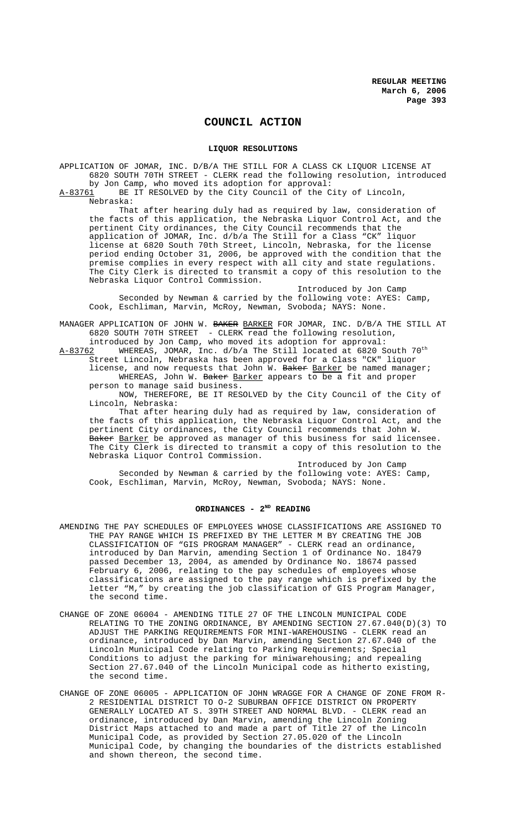# **COUNCIL ACTION**

### **LIQUOR RESOLUTIONS**

APPLICATION OF JOMAR, INC. D/B/A THE STILL FOR A CLASS CK LIQUOR LICENSE AT 6820 SOUTH 70TH STREET - CLERK read the following resolution, introduced by Jon Camp, who moved its adoption for approval:<br>A-83761 BE IT RESOLVED by the City Council of the C

BE IT RESOLVED by the City Council of the City of Lincoln, Nebraska:

That after hearing duly had as required by law, consideration of the facts of this application, the Nebraska Liquor Control Act, and the pertinent City ordinances, the City Council recommends that the application of JOMAR, Inc. d/b/a The Still for a Class "CK" liquor license at 6820 South 70th Street, Lincoln, Nebraska, for the license period ending October 31, 2006, be approved with the condition that the premise complies in every respect with all city and state regulations. The City Clerk is directed to transmit a copy of this resolution to the Nebraska Liquor Control Commission.

Introduced by Jon Camp Seconded by Newman & carried by the following vote: AYES: Camp, Cook, Eschliman, Marvin, McRoy, Newman, Svoboda; NAYS: None.

MANAGER APPLICATION OF JOHN W. BAKER BARKER FOR JOMAR, INC. D/B/A THE STILL AT 6820 SOUTH 70TH STREET - CLERK read the following resolution, introduced by Jon Camp, who moved its adoption for approval:

 $A-83762$  WHEREAS, JOMAR, Inc.  $d/b/a$  The Still located at 6820 South  $70^{th}$ Street Lincoln, Nebraska has been approved for a Class "CK" liquor license, and now requests that John W. Baker Barker be named manager; WHEREAS, John W. Baker Barker appears to be a fit and proper

person to manage said business. NOW, THEREFORE, BE IT RESOLVED by the City Council of the City of Lincoln, Nebraska:

That after hearing duly had as required by law, consideration of the facts of this application, the Nebraska Liquor Control Act, and the pertinent City ordinances, the City Council recommends that John W. Baker <u>Barker</u> be approved as manager of this business for said licensee. The City Clerk is directed to transmit a copy of this resolution to the Nebraska Liquor Control Commission.

Introduced by Jon Camp Seconded by Newman & carried by the following vote: AYES: Camp, Cook, Eschliman, Marvin, McRoy, Newman, Svoboda; NAYS: None.

## ORDINANCES - 2<sup>ND</sup> READING

- AMENDING THE PAY SCHEDULES OF EMPLOYEES WHOSE CLASSIFICATIONS ARE ASSIGNED TO THE PAY RANGE WHICH IS PREFIXED BY THE LETTER M BY CREATING THE JOB CLASSIFICATION OF "GIS PROGRAM MANAGER" - CLERK read an ordinance, introduced by Dan Marvin, amending Section 1 of Ordinance No. 18479 passed December 13, 2004, as amended by Ordinance No. 18674 passed February 6, 2006, relating to the pay schedules of employees whose classifications are assigned to the pay range which is prefixed by the letter "M," by creating the job classification of GIS Program Manager, the second time.
- CHANGE OF ZONE 06004 AMENDING TITLE 27 OF THE LINCOLN MUNICIPAL CODE RELATING TO THE ZONING ORDINANCE, BY AMENDING SECTION 27.67.040(D)(3) TO ADJUST THE PARKING REQUIREMENTS FOR MINI-WAREHOUSING - CLERK read an ordinance, introduced by Dan Marvin, amending Section 27.67.040 of the Lincoln Municipal Code relating to Parking Requirements; Special Conditions to adjust the parking for miniwarehousing; and repealing Section 27.67.040 of the Lincoln Municipal code as hitherto existing, the second time.
- CHANGE OF ZONE 06005 APPLICATION OF JOHN WRAGGE FOR A CHANGE OF ZONE FROM R-2 RESIDENTIAL DISTRICT TO O-2 SUBURBAN OFFICE DISTRICT ON PROPERTY GENERALLY LOCATED AT S. 39TH STREET AND NORMAL BLVD. - CLERK read an ordinance, introduced by Dan Marvin, amending the Lincoln Zoning District Maps attached to and made a part of Title 27 of the Lincoln Municipal Code, as provided by Section 27.05.020 of the Lincoln Municipal Code, by changing the boundaries of the districts established and shown thereon, the second time.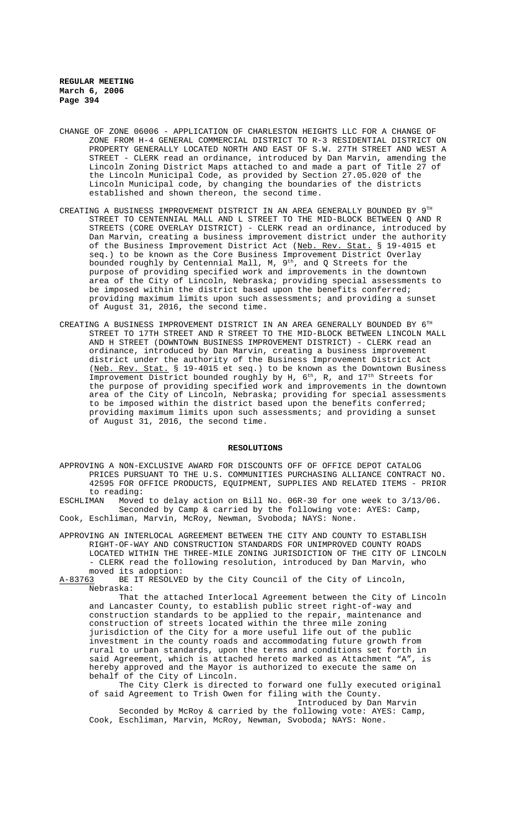- CHANGE OF ZONE 06006 APPLICATION OF CHARLESTON HEIGHTS LLC FOR A CHANGE OF ZONE FROM H-4 GENERAL COMMERCIAL DISTRICT TO R-3 RESIDENTIAL DISTRICT ON PROPERTY GENERALLY LOCATED NORTH AND EAST OF S.W. 27TH STREET AND WEST A STREET - CLERK read an ordinance, introduced by Dan Marvin, amending the Lincoln Zoning District Maps attached to and made a part of Title 27 of the Lincoln Municipal Code, as provided by Section 27.05.020 of the Lincoln Municipal code, by changing the boundaries of the districts established and shown thereon, the second time.
- CREATING A BUSINESS IMPROVEMENT DISTRICT IN AN AREA GENERALLY BOUNDED BY  $9^{TH}$ STREET TO CENTENNIAL MALL AND L STREET TO THE MID-BLOCK BETWEEN Q AND R STREETS (CORE OVERLAY DISTRICT) - CLERK read an ordinance, introduced by Dan Marvin, creating a business improvement district under the authority of the Business Improvement District Act (Neb. Rev. Stat. § 19-4015 et seq.) to be known as the Core Business Improvement District Overlay bounded roughly by Centennial Mall, M, 9<sup>th</sup>, and Q Streets for the purpose of providing specified work and improvements in the downtown area of the City of Lincoln, Nebraska; providing special assessments to be imposed within the district based upon the benefits conferred; providing maximum limits upon such assessments; and providing a sunset of August 31, 2016, the second time.
- CREATING A BUSINESS IMPROVEMENT DISTRICT IN AN AREA GENERALLY BOUNDED BY 6TH STREET TO 17TH STREET AND R STREET TO THE MID-BLOCK BETWEEN LINCOLN MALL AND H STREET (DOWNTOWN BUSINESS IMPROVEMENT DISTRICT) - CLERK read an ordinance, introduced by Dan Marvin, creating a business improvement district under the authority of the Business Improvement District Act (Neb. Rev. Stat. § 19-4015 et seq.) to be known as the Downtown Business Improvement District bounded roughly by H, 6<sup>th</sup>, R, and 17<sup>th</sup> Streets for the purpose of providing specified work and improvements in the downtown area of the City of Lincoln, Nebraska; providing for special assessments to be imposed within the district based upon the benefits conferred; providing maximum limits upon such assessments; and providing a sunset of August 31, 2016, the second time.

## **RESOLUTIONS**

APPROVING A NON-EXCLUSIVE AWARD FOR DISCOUNTS OFF OF OFFICE DEPOT CATALOG PRICES PURSUANT TO THE U.S. COMMUNITIES PURCHASING ALLIANCE CONTRACT NO. 42595 FOR OFFICE PRODUCTS, EQUIPMENT, SUPPLIES AND RELATED ITEMS - PRIOR to reading:<br>ESCHLIMAN Moved

Moved to delay action on Bill No. 06R-30 for one week to 3/13/06. Seconded by Camp & carried by the following vote: AYES: Camp, Cook, Eschliman, Marvin, McRoy, Newman, Svoboda; NAYS: None.

APPROVING AN INTERLOCAL AGREEMENT BETWEEN THE CITY AND COUNTY TO ESTABLISH RIGHT-OF-WAY AND CONSTRUCTION STANDARDS FOR UNIMPROVED COUNTY ROADS LOCATED WITHIN THE THREE-MILE ZONING JURISDICTION OF THE CITY OF LINCOLN - CLERK read the following resolution, introduced by Dan Marvin, who

moved its adoption:<br>A-83763 BE IT RESOLVE BE IT RESOLVED by the City Council of the City of Lincoln, Nebraska:

That the attached Interlocal Agreement between the City of Lincoln and Lancaster County, to establish public street right-of-way and construction standards to be applied to the repair, maintenance and construction of streets located within the three mile zoning jurisdiction of the City for a more useful life out of the public investment in the county roads and accommodating future growth from rural to urban standards, upon the terms and conditions set forth in said Agreement, which is attached hereto marked as Attachment "A", is hereby approved and the Mayor is authorized to execute the same on behalf of the City of Lincoln.

The City Clerk is directed to forward one fully executed original of said Agreement to Trish Owen for filing with the County. Introduced by Dan Marvin

Seconded by McRoy & carried by the following vote: AYES: Camp, Cook, Eschliman, Marvin, McRoy, Newman, Svoboda; NAYS: None.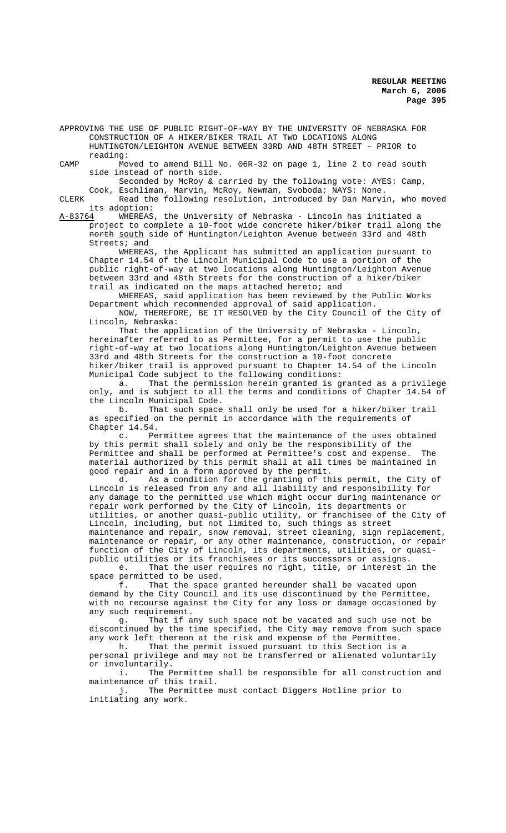APPROVING THE USE OF PUBLIC RIGHT-OF-WAY BY THE UNIVERSITY OF NEBRASKA FOR CONSTRUCTION OF A HIKER/BIKER TRAIL AT TWO LOCATIONS ALONG HUNTINGTON/LEIGHTON AVENUE BETWEEN 33RD AND 48TH STREET - PRIOR to reading:

CAMP Moved to amend Bill No. 06R-32 on page 1, line 2 to read south side instead of north side.

Seconded by McRoy & carried by the following vote: AYES: Camp, Cook, Eschliman, Marvin, McRoy, Newman, Svoboda; NAYS: None.

CLERK Read the following resolution, introduced by Dan Marvin, who moved

its adoption:<br><u>A-83764</u> WHEREAS A-83764 WHEREAS, the University of Nebraska - Lincoln has initiated a project to complete a 10-foot wide concrete hiker/biker trail along the north south side of Huntington/Leighton Avenue between 33rd and 48th Streets; and

WHEREAS, the Applicant has submitted an application pursuant to Chapter 14.54 of the Lincoln Municipal Code to use a portion of the public right-of-way at two locations along Huntington/Leighton Avenue between 33rd and 48th Streets for the construction of a hiker/biker trail as indicated on the maps attached hereto; and

WHEREAS, said application has been reviewed by the Public Works Department which recommended approval of said application.

NOW, THEREFORE, BE IT RESOLVED by the City Council of the City of Lincoln, Nebraska:

That the application of the University of Nebraska - Lincoln, hereinafter referred to as Permittee, for a permit to use the public right-of-way at two locations along Huntington/Leighton Avenue between 33rd and 48th Streets for the construction a 10-foot concrete hiker/biker trail is approved pursuant to Chapter 14.54 of the Lincoln Municipal Code subject to the following conditions:

a. That the permission herein granted is granted as a privilege only, and is subject to all the terms and conditions of Chapter 14.54 of the Lincoln Municipal Code.

b. That such space shall only be used for a hiker/biker trail as specified on the permit in accordance with the requirements of Chapter 14.54.

c. Permittee agrees that the maintenance of the uses obtained by this permit shall solely and only be the responsibility of the Permittee and shall be performed at Permittee's cost and expense. The material authorized by this permit shall at all times be maintained in

good repair and in a form approved by the permit.<br>d. As a condition for the granting of the As a condition for the granting of this permit, the City of Lincoln is released from any and all liability and responsibility for any damage to the permitted use which might occur during maintenance or repair work performed by the City of Lincoln, its departments or utilities, or another quasi-public utility, or franchisee of the City of Lincoln, including, but not limited to, such things as street maintenance and repair, snow removal, street cleaning, sign replacement, maintenance or repair, or any other maintenance, construction, or repair function of the City of Lincoln, its departments, utilities, or quasipublic utilities or its franchisees or its successors or assigns.

e. That the user requires no right, title, or interest in the space permitted to be used.

f. That the space granted hereunder shall be vacated upon demand by the City Council and its use discontinued by the Permittee, with no recourse against the City for any loss or damage occasioned by any such requirement.

g. That if any such space not be vacated and such use not be discontinued by the time specified, the City may remove from such space any work left thereon at the risk and expense of the Permittee.

h. That the permit issued pursuant to this Section is a personal privilege and may not be transferred or alienated voluntarily or involuntarily.

i. The Permittee shall be responsible for all construction and maintenance of this trail.

j. The Permittee must contact Diggers Hotline prior to initiating any work.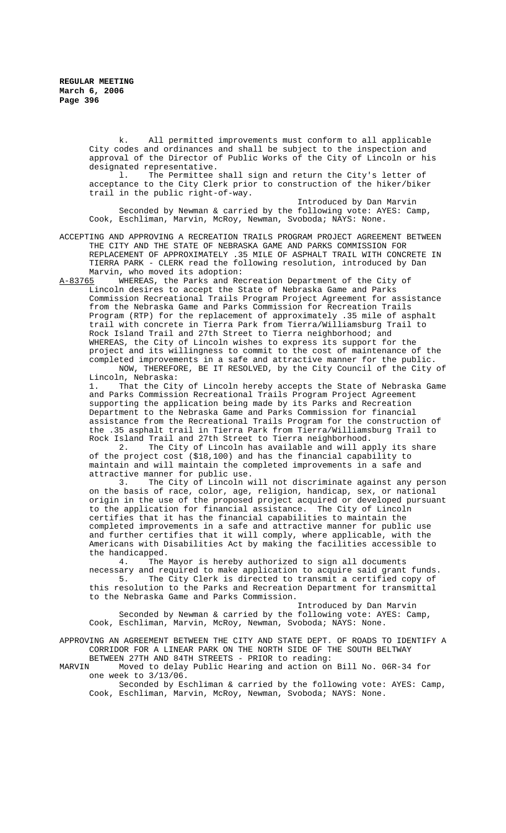k. All permitted improvements must conform to all applicable City codes and ordinances and shall be subject to the inspection and approval of the Director of Public Works of the City of Lincoln or his

designated representative.<br>1. The Permittee The Permittee shall sign and return the City's letter of acceptance to the City Clerk prior to construction of the hiker/biker trail in the public right-of-way.

Introduced by Dan Marvin Seconded by Newman & carried by the following vote: AYES: Camp, Cook, Eschliman, Marvin, McRoy, Newman, Svoboda; NAYS: None.

ACCEPTING AND APPROVING A RECREATION TRAILS PROGRAM PROJECT AGREEMENT BETWEEN THE CITY AND THE STATE OF NEBRASKA GAME AND PARKS COMMISSION FOR REPLACEMENT OF APPROXIMATELY .35 MILE OF ASPHALT TRAIL WITH CONCRETE IN TIERRA PARK - CLERK read the following resolution, introduced by Dan Marvin, who moved its adoption:

A-83765 WHEREAS, the Parks and Recreation Department of the City of Lincoln desires to accept the State of Nebraska Game and Parks Commission Recreational Trails Program Project Agreement for assistance from the Nebraska Game and Parks Commission for Recreation Trails Program (RTP) for the replacement of approximately .35 mile of asphalt trail with concrete in Tierra Park from Tierra/Williamsburg Trail to Rock Island Trail and 27th Street to Tierra neighborhood; and WHEREAS, the City of Lincoln wishes to express its support for the project and its willingness to commit to the cost of maintenance of the completed improvements in a safe and attractive manner for the public. NOW, THEREFORE, BE IT RESOLVED, by the City Council of the City of

Lincoln, Nebraska: 1. That the City of Lincoln hereby accepts the State of Nebraska Game and Parks Commission Recreational Trails Program Project Agreement supporting the application being made by its Parks and Recreation Department to the Nebraska Game and Parks Commission for financial assistance from the Recreational Trails Program for the construction of the .35 asphalt trail in Tierra Park from Tierra/Williamsburg Trail to Rock Island Trail and 27th Street to Tierra neighborhood.<br>2. The City of Lincoln has available and will ap

The City of Lincoln has available and will apply its share of the project cost (\$18,100) and has the financial capability to maintain and will maintain the completed improvements in a safe and attractive manner for public use.<br>3. The City of Lincoln w

The City of Lincoln will not discriminate against any person on the basis of race, color, age, religion, handicap, sex, or national origin in the use of the proposed project acquired or developed pursuant to the application for financial assistance. The City of Lincoln certifies that it has the financial capabilities to maintain the completed improvements in a safe and attractive manner for public use and further certifies that it will comply, where applicable, with the Americans with Disabilities Act by making the facilities accessible to the handicapped.<br>4. The

The Mayor is hereby authorized to sign all documents necessary and required to make application to acquire said grant funds.<br>5. The City Clerk is directed to transmit a certified copy of The City Clerk is directed to transmit a certified copy of this resolution to the Parks and Recreation Department for transmittal to the Nebraska Game and Parks Commission.

Introduced by Dan Marvin Seconded by Newman & carried by the following vote: AYES: Camp, Cook, Eschliman, Marvin, McRoy, Newman, Svoboda; NAYS: None.

APPROVING AN AGREEMENT BETWEEN THE CITY AND STATE DEPT. OF ROADS TO IDENTIFY A CORRIDOR FOR A LINEAR PARK ON THE NORTH SIDE OF THE SOUTH BELTWAY

BETWEEN 27TH AND 84TH STREETS - PRIOR to reading:<br>MARVIN Moved to delay Public Hearing and action on Moved to delay Public Hearing and action on Bill No. 06R-34 for one week to 3/13/06.

Seconded by Eschliman & carried by the following vote: AYES: Camp, Cook, Eschliman, Marvin, McRoy, Newman, Svoboda; NAYS: None.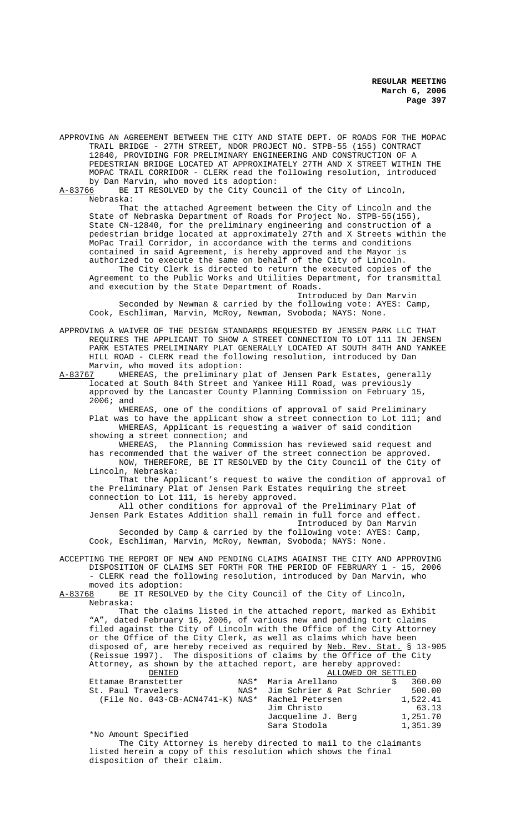APPROVING AN AGREEMENT BETWEEN THE CITY AND STATE DEPT. OF ROADS FOR THE MOPAC TRAIL BRIDGE - 27TH STREET, NDOR PROJECT NO. STPB-55 (155) CONTRACT 12840, PROVIDING FOR PRELIMINARY ENGINEERING AND CONSTRUCTION OF A PEDESTRIAN BRIDGE LOCATED AT APPROXIMATELY 27TH AND X STREET WITHIN THE MOPAC TRAIL CORRIDOR - CLERK read the following resolution, introduced by Dan Marvin, who moved its adoption:<br>A-83766 BE IT RESOLVED by the City Counc

BE IT RESOLVED by the City Council of the City of Lincoln, Nebraska:

That the attached Agreement between the City of Lincoln and the State of Nebraska Department of Roads for Project No. STPB-55(155), State CN-12840, for the preliminary engineering and construction of a pedestrian bridge located at approximately 27th and X Streets within the MoPac Trail Corridor, in accordance with the terms and conditions contained in said Agreement, is hereby approved and the Mayor is authorized to execute the same on behalf of the City of Lincoln.

The City Clerk is directed to return the executed copies of the Agreement to the Public Works and Utilities Department, for transmittal and execution by the State Department of Roads.

Introduced by Dan Marvin Seconded by Newman & carried by the following vote: AYES: Camp, Cook, Eschliman, Marvin, McRoy, Newman, Svoboda; NAYS: None.

APPROVING A WAIVER OF THE DESIGN STANDARDS REQUESTED BY JENSEN PARK LLC THAT REQUIRES THE APPLICANT TO SHOW A STREET CONNECTION TO LOT 111 IN JENSEN PARK ESTATES PRELIMINARY PLAT GENERALLY LOCATED AT SOUTH 84TH AND YANKEE HILL ROAD - CLERK read the following resolution, introduced by Dan Marvin, who moved its adoption:<br>A-83767 WHEREAS, the preliminary

WHEREAS, the preliminary plat of Jensen Park Estates, generally located at South 84th Street and Yankee Hill Road, was previously approved by the Lancaster County Planning Commission on February 15, 2006; and

WHEREAS, one of the conditions of approval of said Preliminary Plat was to have the applicant show a street connection to Lot 111; and WHEREAS, Applicant is requesting a waiver of said condition showing a street connection; and

WHEREAS, the Planning Commission has reviewed said request and has recommended that the waiver of the street connection be approved. NOW, THEREFORE, BE IT RESOLVED by the City Council of the City of Lincoln, Nebraska:

That the Applicant's request to waive the condition of approval of the Preliminary Plat of Jensen Park Estates requiring the street connection to Lot 111, is hereby approved.

All other conditions for approval of the Preliminary Plat of Jensen Park Estates Addition shall remain in full force and effect.

Introduced by Dan Marvin

Seconded by Camp & carried by the following vote: AYES: Camp, Cook, Eschliman, Marvin, McRoy, Newman, Svoboda; NAYS: None.

ACCEPTING THE REPORT OF NEW AND PENDING CLAIMS AGAINST THE CITY AND APPROVING DISPOSITION OF CLAIMS SET FORTH FOR THE PERIOD OF FEBRUARY 1 - 15, 2006 - CLERK read the following resolution, introduced by Dan Marvin, who moved its adoption:<br>A-83768 BE IT RESOLVE

BE IT RESOLVED by the City Council of the City of Lincoln, Nebraska:

That the claims listed in the attached report, marked as Exhibit "A", dated February 16, 2006, of various new and pending tort claims filed against the City of Lincoln with the Office of the City Attorney or the Office of the City Clerk, as well as claims which have been disposed of, are hereby received as required by Neb. Rev. Stat. § 13-905 (Reissue 1997). The dispositions of claims by the Office of the City Attorney, as shown by the attached report, are hereby approved:

| DENIED                                           |      | ALLOWED OR SETTLED             |          |
|--------------------------------------------------|------|--------------------------------|----------|
| Ettamae Branstetter                              | NAS* | Maria Arellano                 | 360.00   |
| St. Paul Travelers                               |      | NAS* Jim Schrier & Pat Schrier | 500.00   |
| (File No. 043-CB-ACN4741-K) NAS* Rachel Petersen |      |                                | 1,522.41 |
|                                                  |      | Jim Christo                    | 63.13    |
|                                                  |      | Jacqueline J. Berg             | 1,251.70 |
|                                                  |      | Sara Stodola                   | 1,351.39 |

\*No Amount Specified

The City Attorney is hereby directed to mail to the claimants listed herein a copy of this resolution which shows the final disposition of their claim.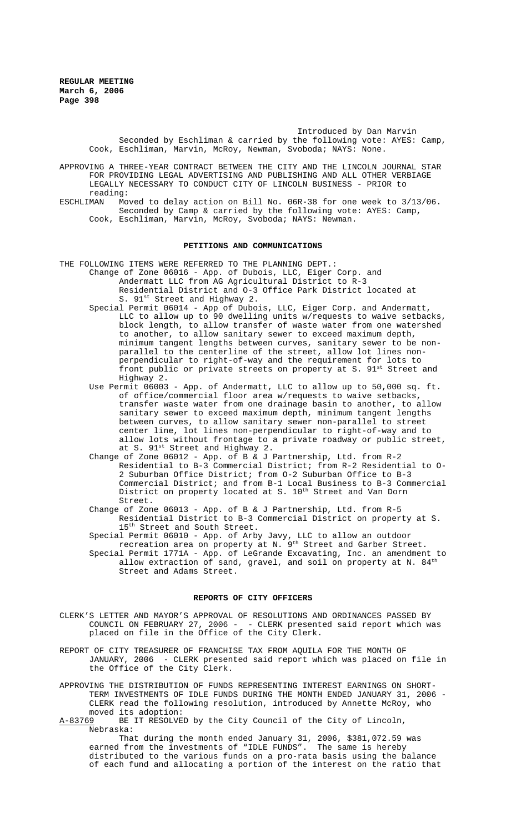> Introduced by Dan Marvin Seconded by Eschliman & carried by the following vote: AYES: Camp, Cook, Eschliman, Marvin, McRoy, Newman, Svoboda; NAYS: None.

APPROVING A THREE-YEAR CONTRACT BETWEEN THE CITY AND THE LINCOLN JOURNAL STAR FOR PROVIDING LEGAL ADVERTISING AND PUBLISHING AND ALL OTHER VERBIAGE LEGALLY NECESSARY TO CONDUCT CITY OF LINCOLN BUSINESS - PRIOR to reading:<br>ESCHLIMAN Mo

Moved to delay action on Bill No. 06R-38 for one week to 3/13/06. Seconded by Camp & carried by the following vote: AYES: Camp, Cook, Eschliman, Marvin, McRoy, Svoboda; NAYS: Newman.

### **PETITIONS AND COMMUNICATIONS**

THE FOLLOWING ITEMS WERE REFERRED TO THE PLANNING DEPT.:

Change of Zone 06016 - App. of Dubois, LLC, Eiger Corp. and Andermatt LLC from AG Agricultural District to R-3 Residential District and O-3 Office Park District located at S. 91st Street and Highway 2.

- Special Permit 06014 App of Dubois, LLC, Eiger Corp. and Andermatt, LLC to allow up to 90 dwelling units w/requests to waive setbacks, block length, to allow transfer of waste water from one watershed to another, to allow sanitary sewer to exceed maximum depth, minimum tangent lengths between curves, sanitary sewer to be nonparallel to the centerline of the street, allow lot lines nonperpendicular to right-of-way and the requirement for lots to front public or private streets on property at S. 91<sup>st</sup> Street and Highway 2.
- Use Permit 06003 App. of Andermatt, LLC to allow up to 50,000 sq. ft. of office/commercial floor area w/requests to waive setbacks, transfer waste water from one drainage basin to another, to allow sanitary sewer to exceed maximum depth, minimum tangent lengths between curves, to allow sanitary sewer non-parallel to street center line, lot lines non-perpendicular to right-of-way and to allow lots without frontage to a private roadway or public street, at S. 91st Street and Highway 2.
- Change of Zone 06012 App. of B & J Partnership, Ltd. from R-2 Residential to B-3 Commercial District; from R-2 Residential to O-2 Suburban Office District; from O-2 Suburban Office to B-3 Commercial District; and from B-1 Local Business to B-3 Commercial District on property located at S. 10<sup>th</sup> Street and Van Dorn Street.
- Change of Zone 06013 App. of B & J Partnership, Ltd. from R-5 Residential District to B-3 Commercial District on property at S. 15<sup>th</sup> Street and South Street.
- Special Permit 06010 App. of Arby Javy, LLC to allow an outdoor recreation area on property at N. 9<sup>th</sup> Street and Garber Street. Special Permit 1771A - App. of LeGrande Excavating, Inc. an amendment to allow extraction of sand, gravel, and soil on property at N.  $84<sup>th</sup>$ Street and Adams Street.

## **REPORTS OF CITY OFFICERS**

- CLERK'S LETTER AND MAYOR'S APPROVAL OF RESOLUTIONS AND ORDINANCES PASSED BY COUNCIL ON FEBRUARY 27, 2006 - - CLERK presented said report which was placed on file in the Office of the City Clerk.
- REPORT OF CITY TREASURER OF FRANCHISE TAX FROM AQUILA FOR THE MONTH OF JANUARY, 2006 - CLERK presented said report which was placed on file in the Office of the City Clerk.

APPROVING THE DISTRIBUTION OF FUNDS REPRESENTING INTEREST EARNINGS ON SHORT-TERM INVESTMENTS OF IDLE FUNDS DURING THE MONTH ENDED JANUARY 31, 2006 - CLERK read the following resolution, introduced by Annette McRoy, who moved its adoption:

A-83769 BE IT RESOLVED by the City Council of the City of Lincoln, Nebraska:

That during the month ended January 31, 2006, \$381,072.59 was earned from the investments of "IDLE FUNDS". The same is hereby distributed to the various funds on a pro-rata basis using the balance of each fund and allocating a portion of the interest on the ratio that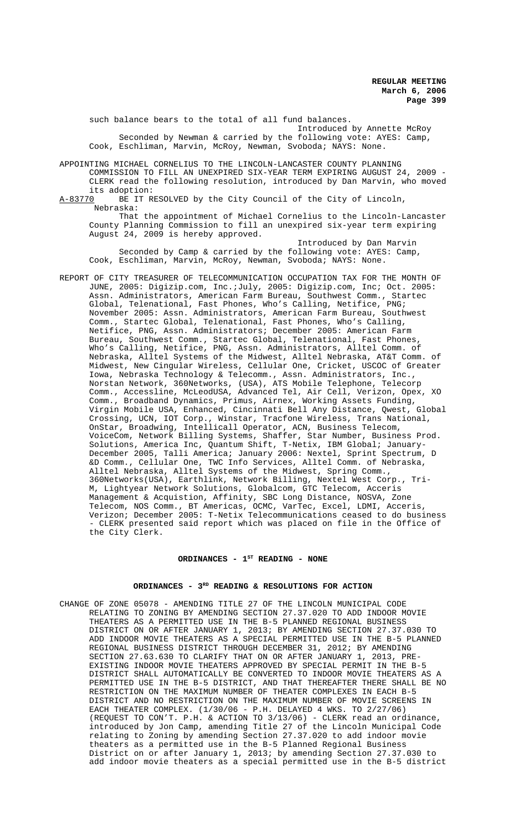such balance bears to the total of all fund balances. Introduced by Annette McRoy Seconded by Newman & carried by the following vote: AYES: Camp, Cook, Eschliman, Marvin, McRoy, Newman, Svoboda; NAYS: None.

APPOINTING MICHAEL CORNELIUS TO THE LINCOLN-LANCASTER COUNTY PLANNING COMMISSION TO FILL AN UNEXPIRED SIX-YEAR TERM EXPIRING AUGUST 24, 2009 - CLERK read the following resolution, introduced by Dan Marvin, who moved

its adoption:<br><u>A-83770</u> BE IT R BE IT RESOLVED by the City Council of the City of Lincoln, Nebraska:

That the appointment of Michael Cornelius to the Lincoln-Lancaster County Planning Commission to fill an unexpired six-year term expiring August 24, 2009 is hereby approved.

Introduced by Dan Marvin Seconded by Camp & carried by the following vote: AYES: Camp, Cook, Eschliman, Marvin, McRoy, Newman, Svoboda; NAYS: None.

REPORT OF CITY TREASURER OF TELECOMMUNICATION OCCUPATION TAX FOR THE MONTH OF JUNE, 2005: Digizip.com, Inc.;July, 2005: Digizip.com, Inc; Oct. 2005: Assn. Administrators, American Farm Bureau, Southwest Comm., Startec Global, Telenational, Fast Phones, Who's Calling, Netifice, PNG; November 2005: Assn. Administrators, American Farm Bureau, Southwest Comm., Startec Global, Telenational, Fast Phones, Who's Calling, Netifice, PNG, Assn. Administrators; December 2005: American Farm Bureau, Southwest Comm., Startec Global, Telenational, Fast Phones, Who's Calling, Netifice, PNG, Assn. Administrators, Alltel Comm. of Nebraska, Alltel Systems of the Midwest, Alltel Nebraska, AT&T Comm. of Midwest, New Cingular Wireless, Cellular One, Cricket, USCOC of Greater Iowa, Nebraska Technology & Telecomm., Assn. Administrators, Inc., Norstan Network, 360Networks, (USA), ATS Mobile Telephone, Telecorp Comm., Accessline, McLeodUSA, Advanced Tel, Air Cell, Verizon, Opex, XO Comm., Broadband Dynamics, Primus, Airnex, Working Assets Funding, Virgin Mobile USA, Enhanced, Cincinnati Bell Any Distance, Qwest, Global Crossing, UCN, IOT Corp., Winstar, Tracfone Wireless, Trans National, OnStar, Broadwing, Intellicall Operator, ACN, Business Telecom, VoiceCom, Network Billing Systems, Shaffer, Star Number, Business Prod. Solutions, America Inc, Quantum Shift, T-Netix, IBM Global; January-December 2005, Talli America; January 2006: Nextel, Sprint Spectrum, D &D Comm., Cellular One, TWC Info Services, Alltel Comm. of Nebraska, Alltel Nebraska, Alltel Systems of the Midwest, Spring Comm., 360Networks(USA), Earthlink, Network Billing, Nextel West Corp., Tri-M, Lightyear Network Solutions, Globalcom, GTC Telecom, Acceris Management & Acquistion, Affinity, SBC Long Distance, NOSVA, Zone Telecom, NOS Comm., BT Americas, OCMC, VarTec, Excel, LDMI, Acceris, Verizon; December 2005: T-Netix Telecommunications ceased to do business - CLERK presented said report which was placed on file in the Office of the City Clerk.

# ORDINANCES - 1<sup>st</sup> READING - NONE

## ORDINANCES - 3<sup>RD</sup> READING & RESOLUTIONS FOR ACTION

CHANGE OF ZONE 05078 - AMENDING TITLE 27 OF THE LINCOLN MUNICIPAL CODE RELATING TO ZONING BY AMENDING SECTION 27.37.020 TO ADD INDOOR MOVIE THEATERS AS A PERMITTED USE IN THE B-5 PLANNED REGIONAL BUSINESS DISTRICT ON OR AFTER JANUARY 1, 2013; BY AMENDING SECTION 27.37.030 TO ADD INDOOR MOVIE THEATERS AS A SPECIAL PERMITTED USE IN THE B-5 PLANNED REGIONAL BUSINESS DISTRICT THROUGH DECEMBER 31, 2012; BY AMENDING SECTION 27.63.630 TO CLARIFY THAT ON OR AFTER JANUARY 1, 2013, PRE-EXISTING INDOOR MOVIE THEATERS APPROVED BY SPECIAL PERMIT IN THE B-5 DISTRICT SHALL AUTOMATICALLY BE CONVERTED TO INDOOR MOVIE THEATERS AS A PERMITTED USE IN THE B-5 DISTRICT, AND THAT THEREAFTER THERE SHALL BE NO RESTRICTION ON THE MAXIMUM NUMBER OF THEATER COMPLEXES IN EACH B-5 DISTRICT AND NO RESTRICTION ON THE MAXIMUM NUMBER OF MOVIE SCREENS IN EACH THEATER COMPLEX. (1/30/06 - P.H. DELAYED 4 WKS. TO 2/27/06) (REQUEST TO CON'T. P.H. & ACTION TO 3/13/06) - CLERK read an ordinance, introduced by Jon Camp, amending Title 27 of the Lincoln Municipal Code relating to Zoning by amending Section 27.37.020 to add indoor movie theaters as a permitted use in the B-5 Planned Regional Business District on or after January 1, 2013; by amending Section 27.37.030 to add indoor movie theaters as a special permitted use in the B-5 district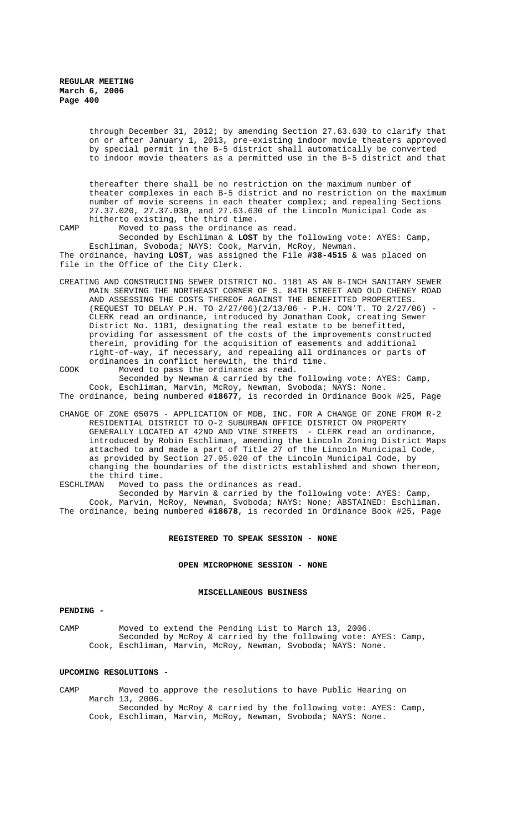through December 31, 2012; by amending Section 27.63.630 to clarify that on or after January 1, 2013, pre-existing indoor movie theaters approved by special permit in the B-5 district shall automatically be converted to indoor movie theaters as a permitted use in the B-5 district and that

thereafter there shall be no restriction on the maximum number of theater complexes in each B-5 district and no restriction on the maximum number of movie screens in each theater complex; and repealing Sections 27.37.020, 27.37.030, and 27.63.630 of the Lincoln Municipal Code as hitherto existing, the third time.

CAMP Moved to pass the ordinance as read. Seconded by Eschliman & **LOST** by the following vote: AYES: Camp, Eschliman, Svoboda; NAYS: Cook, Marvin, McRoy, Newman. The ordinance, having **LOST**, was assigned the File **#38-4515** & was placed on file in the Office of the City Clerk.

- CREATING AND CONSTRUCTING SEWER DISTRICT NO. 1181 AS AN 8-INCH SANITARY SEWER MAIN SERVING THE NORTHEAST CORNER OF S. 84TH STREET AND OLD CHENEY ROAD AND ASSESSING THE COSTS THEREOF AGAINST THE BENEFITTED PROPERTIES. (REQUEST TO DELAY P.H. TO  $2/27/06$ )( $2/13/06$  - P.H. CON'T. TO  $2/27/06$ ) CLERK read an ordinance, introduced by Jonathan Cook, creating Sewer District No. 1181, designating the real estate to be benefitted, providing for assessment of the costs of the improvements constructed therein, providing for the acquisition of easements and additional right-of-way, if necessary, and repealing all ordinances or parts of ordinances in conflict herewith, the third time.
- COOK Moved to pass the ordinance as read. Seconded by Newman & carried by the following vote: AYES: Camp, Cook, Eschliman, Marvin, McRoy, Newman, Svoboda; NAYS: None. The ordinance, being numbered **#18677**, is recorded in Ordinance Book #25, Page
- CHANGE OF ZONE 05075 APPLICATION OF MDB, INC. FOR A CHANGE OF ZONE FROM R-2 RESIDENTIAL DISTRICT TO O-2 SUBURBAN OFFICE DISTRICT ON PROPERTY GENERALLY LOCATED AT 42ND AND VINE STREETS - CLERK read an ordinance, introduced by Robin Eschliman, amending the Lincoln Zoning District Maps attached to and made a part of Title 27 of the Lincoln Municipal Code, as provided by Section 27.05.020 of the Lincoln Municipal Code, by changing the boundaries of the districts established and shown thereon, the third time.<br>ESCHLIMAN Moved to

Moved to pass the ordinances as read.

Seconded by Marvin & carried by the following vote: AYES: Camp, Cook, Marvin, McRoy, Newman, Svoboda; NAYS: None; ABSTAINED: Eschliman. The ordinance, being numbered **#18678**, is recorded in Ordinance Book #25, Page

### **REGISTERED TO SPEAK SESSION - NONE**

#### **OPEN MICROPHONE SESSION - NONE**

## **MISCELLANEOUS BUSINESS**

## **PENDING -**

CAMP Moved to extend the Pending List to March 13, 2006. Seconded by McRoy & carried by the following vote: AYES: Camp, Cook, Eschliman, Marvin, McRoy, Newman, Svoboda; NAYS: None.

### **UPCOMING RESOLUTIONS -**

CAMP Moved to approve the resolutions to have Public Hearing on March 13, 2006. Seconded by McRoy & carried by the following vote: AYES: Camp, Cook, Eschliman, Marvin, McRoy, Newman, Svoboda; NAYS: None.